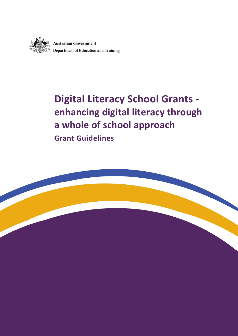

**Australian Government<br>Department of Education and Training** 

# **Digital Literacy School Grants enhancing digital literacy through a whole of school approach**

**Grant Guidelines**

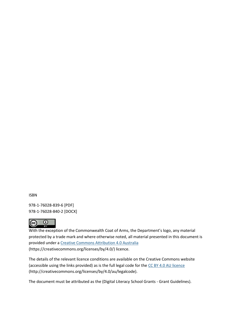ISBN

978-1-76028-839-6 [PDF] 978-1-76028-840-2 [DOCX]



With the exception of the Commonwealth Coat of Arms, the Department's logo, any material protected by a trade mark and where otherwise noted, all material presented in this document is provided under a [Creative Commons Attribution 4.0 Australia](https://creativecommons.org/licenses/by/4.0/) (https://creativecommons.org/licenses/by/4.0/) licence.

The details of the relevant licence conditions are available on the Creative Commons website (accessible using the links provided) as is the full legal code for th[e CC BY 4.0 AU licence](https://creativecommons.org/licenses/by/4.0/legalcode) (http://creativecommons.org/licenses/by/4.0/au/legalcode).

The document must be attributed as the (Digital Literacy School Grants - Grant Guidelines).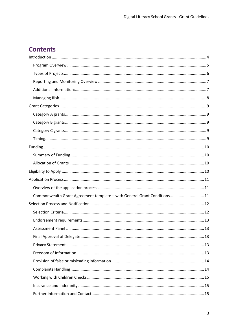# **Contents**

| Commonwealth Grant Agreement template - with General Grant Conditions11 |  |
|-------------------------------------------------------------------------|--|
|                                                                         |  |
|                                                                         |  |
|                                                                         |  |
|                                                                         |  |
|                                                                         |  |
|                                                                         |  |
|                                                                         |  |
|                                                                         |  |
|                                                                         |  |
|                                                                         |  |
|                                                                         |  |
|                                                                         |  |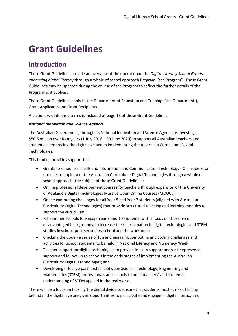# **Grant Guidelines**

# <span id="page-3-0"></span>**Introduction**

These Grant Guidelines provide an overview of the operation of the *Digital Literacy School Grants enhancing digital lite*racy through a whole of school approach Program ('the Program'). These Grant Guidelines may be updated during the course of the Program to reflect the further details of the Program as it evolves.

These Grant Guidelines apply to the Department of Education and Training ('the Department'), Grant Applicants and Grant Recipients.

A dictionary of defined terms is included at page 16 of these Grant Guidelines.

#### *National Innovation and Science Agenda*

The Australian Government, through its National Innovation and Science Agenda, is investing \$50.6 million over four years (1 July 2016 – 30 June 2020) to support all Australian teachers and students in embracing the digital age and in implementing the Australian Curriculum: Digital Technologies.

This funding provides support for:

- Grants to school principals and Information and Communication Technology (ICT) leaders for projects to implement the Australian Curriculum: Digital Technologies through a whole of school approach (the subject of these Grant Guidelines);
- Online professional development courses for teachers through expansion of the University of Adelaide's Digital Technologies Massive Open Online Courses (MOOCs);
- Online computing challenges for all Year 5 and Year 7 students (aligned with Australian Curriculum: Digital Technologies) that provide structured teaching and learning modules to support the curriculum;
- ICT summer schools to engage Year 9 and 10 students, with a focus on those from disadvantaged backgrounds, to increase their participation in digital technologies and STEM studies in school, post-secondary school and the workforce;
- Cracking the Code a series of fun and engaging computing and coding challenges and activities for school students, to be held in National Literacy and Numeracy Week;
- Teacher support for digital technologies to provide in-class support and/or telepresence support and follow-up to schools in the early stages of implementing the Australian Curriculum: Digital Technologies; and
- Developing effective partnerships between Science, Technology, Engineering and Mathematics (STEM) professionals and schools to build teachers' and students' understanding of STEM applied in the real world.

There will be a focus on tackling the digital divide to ensure that students most at risk of falling behind in the digital age are given opportunities to participate and engage in digital literacy and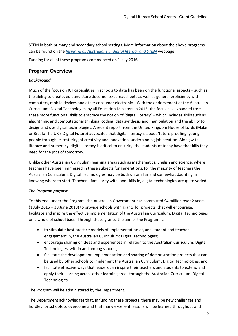STEM in both primary and secondary school settings. More information about the above programs can be found on the *[Inspiring all Australians in digital literacy and STEM](http://www.education.gov.au/inspiring-all-australians-digital-literacy-and-stem)* webpage.

Funding for all of these programs commenced on 1 July 2016.

### <span id="page-4-0"></span>**Program Overview**

#### *Background*

Much of the focus on ICT capabilities in schools to date has been on the functional aspects – such as the ability to create, edit and store documents/spreadsheets as well as general proficiency with computers, mobile devices and other consumer electronics. With the endorsement of the Australian Curriculum: Digital Technologies by all Education Ministers in 2015, the focus has expanded from these more functional skills to embrace the notion of 'digital literacy' – which includes skills such as algorithmic and computational thinking, coding, data synthesis and manipulation and the ability to design and use digital technologies. A recent report from the United Kingdom House of Lords (Make or Break: The UK's Digital Future) advocates that digital literacy is about 'future proofing' young people through its fostering of creativity and innovation, underpinning job creation. Along with literacy and numeracy, digital literacy is critical to ensuring the students of today have the skills they need for the jobs of tomorrow.

Unlike other Australian Curriculum learning areas such as mathematics, English and science, where teachers have been immersed in these subjects for generations, for the majority of teachers the Australian Curriculum: Digital Technologies may be both unfamiliar and somewhat daunting in knowing where to start. Teachers' familiarity with, and skills in, digital technologies are quite varied.

#### *The Program purpose*

To this end, under the Program, the Australian Government has committed \$4 million over 2 years (1 July 2016 – 30 June 2018) to provide schools with grants for projects, that will encourage, facilitate and inspire the effective implementation of the Australian Curriculum: Digital Technologies on a whole of school basis. Through these grants, the aim of the Program is:

- to stimulate best practice models of implementation of, and student and teacher engagement in, the Australian Curriculum: Digital Technologies;
- encourage sharing of ideas and experiences in relation to the Australian Curriculum: Digital Technologies, within and among schools;
- facilitate the development, implementation and sharing of demonstration projects that can be used by other schools to implement the Australian Curriculum: Digital Technologies; and
- facilitate effective ways that leaders can inspire their teachers and students to extend and apply their learning across other learning areas through the Australian Curriculum: Digital Technologies.

The Program will be administered by the Department.

The Department acknowledges that, in funding these projects, there may be new challenges and hurdles for schools to overcome and that many excellent lessons will be learned throughout and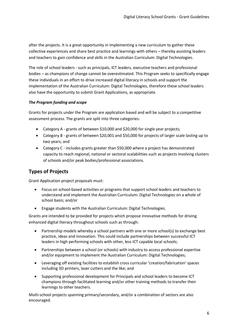after the projects. It is a great opportunity in implementing a new curriculum to gather these collective experiences and share best practice and learnings with others – thereby assisting leaders and teachers to gain confidence and skills in the Australian Curriculum: Digital Technologies.

The role of school leaders - such as principals, ICT leaders, executive teachers and professional bodies – as champions of change cannot be overestimated. This Program seeks to specifically engage these individuals in an effort to drive increased digital literacy in schools and support the implementation of the Australian Curriculum: Digital Technologies, therefore these school leaders also have the opportunity to submit Grant Applications, as appropriate.

#### *The Program funding and scope*

Grants for projects under the Program are application based and will be subject to a competitive assessment process. The grants are split into three categories:

- Category A grants of between \$10,000 and \$20,000 for single year projects;
- Category B grants of between \$20,001 and \$50,000 for projects of larger scale lasting up to two years; and
- Category C includes grants greater than \$50,000 where a project has demonstrated capacity to reach regional, national or sectoral scalabilities such as projects involving clusters of schools and/or peak bodies/professional associations.

### <span id="page-5-0"></span>**Types of Projects**

Grant Application project proposals must:

- Focus on school-based activities or programs that support school leaders and teachers to understand and implement the Australian Curriculum: Digital Technologies on a whole of school basis; and/or
- Engage students with the Australian Curriculum: Digital Technologies.

Grants are intended to be provided for projects which propose innovative methods for driving enhanced digital literacy throughout schools such as through:

- Partnership models whereby a school partners with one or more school(s) to exchange best practice, ideas and innovation. This could include partnerships between successful ICT leaders in high performing schools with other, less ICT capable local schools;
- Partnerships between a school (or schools) with industry to access professional expertise and/or equipment to implement the Australian Curriculum: Digital Technologies;
- Leveraging off existing facilities to establish cross curricular 'creation/fabrication' spaces including 3D printers, laser cutters and the like; and
- Supporting professional development for Principals and school leaders to become ICT champions through facilitated learning and/or other training methods to transfer their learnings to other teachers.

Multi-school projects spanning primary/secondary, and/or a combination of sectors are also encouraged.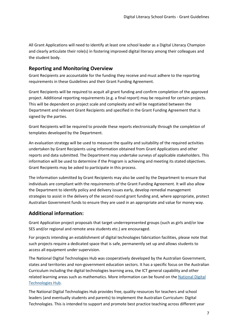All Grant Applications will need to identify at least one school leader as a Digital Literacy Champion and clearly articulate their role(s) in fostering improved digital literacy among their colleagues and the student body.

### <span id="page-6-0"></span>**Reporting and Monitoring Overview**

Grant Recipients are accountable for the funding they receive and must adhere to the reporting requirements in these Guidelines and their Grant Funding Agreement.

Grant Recipients will be required to acquit all grant funding and confirm completion of the approved project. Additional reporting requirements (e.g. a final report) may be required for certain projects. This will be dependent on project scale and complexity and will be negotiated between the Department and relevant Grant Recipients and specified in the Grant Funding Agreement that is signed by the parties.

Grant Recipients will be required to provide these reports electronically through the completion of templates developed by the Department.

An evaluation strategy will be used to measure the quality and suitability of the required activities undertaken by Grant Recipients using information obtained from Grant Applications and other reports and data submitted. The Department may undertake surveys of applicable stakeholders. This information will be used to determine if the Program is achieving and meeting its stated objectives. Grant Recipients may be asked to participate in this process.

The information submitted by Grant Recipients may also be used by the Department to ensure that individuals are compliant with the requirements of the Grant Funding Agreement. It will also allow the Department to identify policy and delivery issues early, develop remedial management strategies to assist in the delivery of the second round grant funding and, where appropriate, protect Australian Government funds to ensure they are used in an appropriate and value for money way.

### <span id="page-6-1"></span>**Additional information:**

Grant Application project proposals that target underrepresented groups (such as girls and/or low SES and/or regional and remote area students etc.) are encouraged.

For projects intending an establishment of digital technologies fabrication facilities, please note that such projects require a dedicated space that is safe, permanently set up and allows students to access all equipment under supervision.

The National Digital Technologies Hub was cooperatively developed by the Australian Government, states and territories and non-government education sectors. It has a specific focus on the Australian Curriculum including the digital technologies learning area, the ICT general capability and other related learning areas such as mathematics. More information can be found on the National Digital [Technologies Hub.](http://www.digitaltechnologieshub.edu.au/)

The National Digital Technologies Hub provides free, quality resources for teachers and school leaders (and eventually students and parents) to implement the Australian Curriculum: Digital Technologies. This is intended to support and promote best practice teaching across different year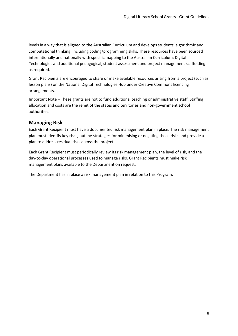levels in a way that is aligned to the Australian Curriculum and develops students' algorithmic and computational thinking, including coding/programming skills. These resources have been sourced internationally and nationally with specific mapping to the Australian Curriculum: Digital Technologies and additional pedagogical, student assessment and project management scaffolding as required.

Grant Recipients are encouraged to share or make available resources arising from a project (such as lesson plans) on the National Digital Technologies Hub under Creative Commons licencing arrangements.

Important Note – These grants are not to fund additional teaching or administrative staff. Staffing allocation and costs are the remit of the states and territories and non-government school authorities.

### <span id="page-7-0"></span>**Managing Risk**

Each Grant Recipient must have a documented risk management plan in place. The risk management plan must identify key risks, outline strategies for minimising or negating those risks and provide a plan to address residual risks across the project.

Each Grant Recipient must periodically review its risk management plan, the level of risk, and the day-to-day operational processes used to manage risks. Grant Recipients must make risk management plans available to the Department on request.

The Department has in place a risk management plan in relation to this Program.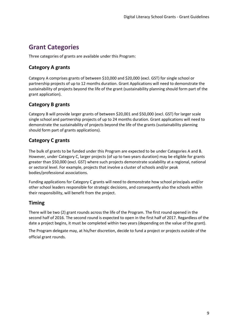# <span id="page-8-0"></span>**Grant Categories**

Three categories of grants are available under this Program:

## <span id="page-8-1"></span>**Category A grants**

Category A comprises grants of between \$10,000 and \$20,000 (excl. GST) for single school or partnership projects of up to 12 months duration. Grant Applications will need to demonstrate the sustainability of projects beyond the life of the grant (sustainability planning should form part of the grant application).

### <span id="page-8-2"></span>**Category B grants**

Category B will provide larger grants of between \$20,001 and \$50,000 (excl. GST) for larger scale single school and partnership projects of up to 24 months duration. Grant applications will need to demonstrate the sustainability of projects beyond the life of the grants (sustainability planning should form part of grants applications).

### <span id="page-8-3"></span>**Category C grants**

The bulk of grants to be funded under this Program are expected to be under Categories A and B. However, under Category C, larger projects (of up to two years duration) may be eligible for grants greater than \$50,000 (excl. GST) where such projects demonstrate scalability at a regional, national or sectoral level. For example, projects that involve a cluster of schools and/or peak bodies/professional associations.

Funding applications for Category C grants will need to demonstrate how school principals and/or other school leaders responsible for strategic decisions, and consequently also the schools within their responsibility, will benefit from the project.

## <span id="page-8-4"></span>**Timing**

There will be two (2) grant rounds across the life of the Program. The first round opened in the second half of 2016. The second round is expected to open in the first half of 2017. Regardless of the date a project begins, it must be completed within two years (depending on the value of the grant).

The Program delegate may, at his/her discretion, decide to fund a project or projects outside of the official grant rounds.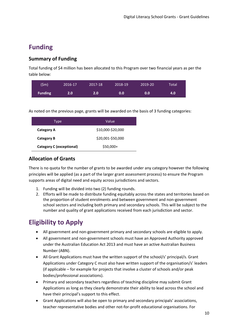# <span id="page-9-0"></span>**Funding**

### <span id="page-9-1"></span>**Summary of Funding**

Total funding of \$4 million has been allocated to this Program over two financial years as per the table below:

| (5m)           | 2016-17     | 2017-18 | 2018-19 | 2019-20 | Total' |
|----------------|-------------|---------|---------|---------|--------|
| <b>Funding</b> | $2.0^\circ$ | 2.0'    | 0.0     | 0.0     | 4.0    |

As noted on the previous page, grants will be awarded on the basis of 3 funding categories:

| Type                            | Value             |
|---------------------------------|-------------------|
| Category A                      | \$10,000-\$20,000 |
| Category B                      | \$20,001-\$50,000 |
| <b>Category C (exceptional)</b> | \$50,000+         |

### <span id="page-9-2"></span>**Allocation of Grants**

There is no quota for the number of grants to be awarded under any category however the following principles will be applied (as a part of the larger grant assessment process) to ensure the Program supports areas of digital need and equity across jurisdictions and sectors.

- 1. Funding will be divided into two (2) funding rounds.
- 2. Efforts will be made to distribute funding equitably across the states and territories based on the proportion of student enrolments and between government and non-government school sectors and including both primary and secondary schools. This will be subject to the number and quality of grant applications received from each jurisdiction and sector.

# <span id="page-9-3"></span>**Eligibility to Apply**

- All government and non-government primary and secondary schools are eligible to apply.
- All government and non-government schools must have an Approved Authority approved under the Australian Education Act 2013 and must have an active Australian Business Number (ABN).
- All Grant Applications must have the written support of the school/s' principal/s. Grant Applications under Category C must also have written support of the organisation/s' leaders (if applicable – for example for projects that involve a cluster of schools and/or peak bodies/professional associations).
- Primary and secondary teachers regardless of teaching discipline may submit Grant Applications as long as they clearly demonstrate their ability to lead across the school and have their principal's support to this effect.
- Grant Applications will also be open to primary and secondary principals' associations, teacher representative bodies and other not-for-profit educational organisations. For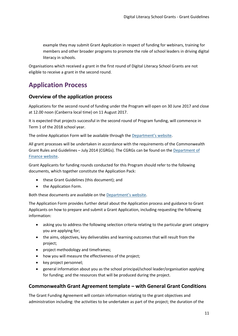example they may submit Grant Application in respect of funding for webinars, training for members and other broader programs to promote the role of school leaders in driving digital literacy in schools.

Organisations which received a grant in the first round of Digital Literacy School Grants are not eligible to receive a grant in the second round.

# <span id="page-10-0"></span>**Application Process**

### <span id="page-10-1"></span>**Overview of the application process**

Applications for the second round of funding under the Program will open on 30 June 2017 and close at 12.00 noon (Canberra local time) on 11 August 2017.

It is expected that projects successful in the second round of Program funding, will commence in Term 1 of the 2018 school year.

The online Application Form will be available through the [Department](http://www.education.gov.au/digital-literacy-school-grants-dlsg)'s website.

All grant processes will be undertaken in accordance with the requirements of the Commonwealth Grant Rules and Guidelines – July 2014 (CGRGs). The CGRGs can be found on th[e Department of](http://www.finance.gov.au/resource-management/grants/)  [Finance website.](http://www.finance.gov.au/resource-management/grants/)

Grant Applicants for funding rounds conducted for this Program should refer to the following documents, which together constitute the Application Pack:

- these Grant Guidelines (this document); and
- the Application Form.

Both these documents are available on the [Department](https://www.education.gov.au/digital-literacy-school-grants-dlsg)'s website.

The Application Form provides further detail about the Application process and guidance to Grant Applicants on how to prepare and submit a Grant Application, including requesting the following information:

- asking you to address the following selection criteria relating to the particular grant category you are applying for;
- the aims, objectives, key deliverables and learning outcomes that will result from the project;
- project methodology and timeframes;
- how you will measure the effectiveness of the project;
- key project personnel;
- general information about you as the school principal/school leader/organisation applying for funding; and the resources that will be produced during the project.

### <span id="page-10-2"></span>**Commonwealth Grant Agreement template – with General Grant Conditions**

The Grant Funding Agreement will contain information relating to the grant objectives and administration including: the activities to be undertaken as part of the project; the duration of the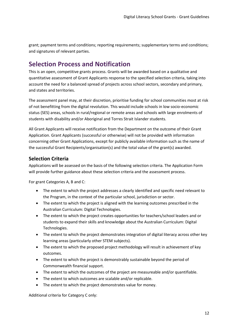grant; payment terms and conditions; reporting requirements; supplementary terms and conditions; and signatures of relevant parties.

## <span id="page-11-0"></span>**Selection Process and Notification**

This is an open, competitive grants process. Grants will be awarded based on a qualitative and quantitative assessment of Grant Applicants response to the specified selection criteria, taking into account the need for a balanced spread of projects across school sectors, secondary and primary, and states and territories.

The assessment panel may, at their discretion, prioritise funding for school communities most at risk of not benefitting from the digital revolution. This would include schools in low socio-economic status (SES) areas, schools in rural/regional or remote areas and schools with large enrolments of students with disability and/or Aboriginal and Torres Strait Islander students.

All Grant Applicants will receive notification from the Department on the outcome of their Grant Application. Grant Applicants (successful or otherwise) will not be provided with information concerning other Grant Applications, except for publicly available information such as the name of the successful Grant Recipients/organisation(s) and the total value of the grant(s) awarded.

### <span id="page-11-1"></span>**Selection Criteria**

Applications will be assessed on the basis of the following selection criteria. The Application Form will provide further guidance about these selection criteria and the assessment process.

For grant Categories A, B and C:

- The extent to which the project addresses a clearly identified and specific need relevant to the Program, in the context of the particular school, jurisdiction or sector.
- The extent to which the project is aligned with the learning outcomes prescribed in the Australian Curriculum: Digital Technologies.
- The extent to which the project creates opportunities for teachers/school leaders and or students to expand their skills and knowledge about the Australian Curriculum: Digital Technologies.
- The extent to which the project demonstrates integration of digital literacy across other key learning areas (particularly other STEM subjects).
- The extent to which the proposed project methodology will result in achievement of key outcomes.
- The extent to which the project is demonstrably sustainable beyond the period of Commonwealth financial support.
- The extent to which the outcomes of the project are measureable and/or quantifiable.
- The extent to which outcomes are scalable and/or replicable.
- The extent to which the project demonstrates value for money.

Additional criteria for Category C only: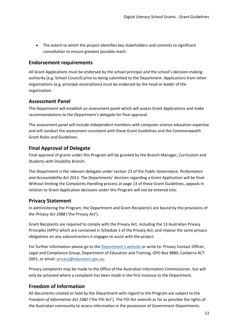The extent to which the project identifies key stakeholders and commits to significant consultation to ensure greatest possible reach.

### <span id="page-12-0"></span>**Endorsement requirements**

All Grant Applications must be endorsed by the school principal and the school's decision-making authority (e.g. School Council) prior to being submitted to the Department. Applications from other organisations (e.g. principal associations) must be endorsed by the head or leader of the organisation.

### <span id="page-12-1"></span>**Assessment Panel**

The Department will establish an assessment panel which will assess Grant Applications and make recommendations to the Department's delegate for final approval.

The assessment panel will include independent members with computer science education expertise and will conduct the assessment consistent with these Grant Guidelines and the Commonwealth Grant Rules and Guidelines.

### <span id="page-12-2"></span>**Final Approval of Delegate**

Final approval of grants under this Program will be granted by the Branch Manager, Curriculum and Students with Disability Branch.

The Department is the relevant delegate under section 23 of the *Public Governance, Performance and Accountability Act 2013*. The Departments' decision regarding a Grant Application will be final. Without limiting the Complaints Handling process at page 13 of these Grant Guidelines, appeals in relation to Grant Application decisions under this Program will not be entered into.

### <span id="page-12-3"></span>**Privacy Statement**

In administering the Program, the Department and Grant Recipient/s are bound by the provisions of the *Privacy Act 1988* ('the Privacy Act').

Grant Recipients are required to comply with the Privacy Act, including the 13 Australian Privacy Principles (APPs) which are contained in Schedule 1 of the Privacy Act; and impose the same privacy obligations on any subcontractors it engages to assist with the project.

For further information please go to the [Department](http://education.gov.au/privacy)'s website or write to: Privacy Contact Officer, Legal and Compliance Group, Department of Education and Training, GPO Box 9880, Canberra ACT 2601, or email[: privacy@education.gov.au.](mailto:privacy@education.gov.au)

Privacy complaints may be made to the Office of the Australian Information Commissioner, but will only be actioned where a complaint has been made in the first instance to the Department.

### <span id="page-12-4"></span>**Freedom of Information**

All documents created or held by the Department with regard to the Program are subject to the *Freedom of Information Act 1982* ('the FOI Act'). The FOI Act extends as far as possible the rights of the Australian community to access information in the possession of Government Departments.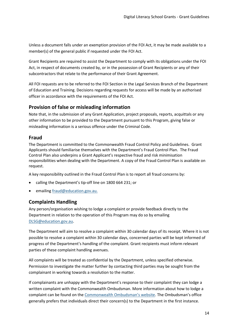Unless a document falls under an exemption provision of the FOI Act, it may be made available to a member(s) of the general public if requested under the FOI Act.

Grant Recipients are required to assist the Department to comply with its obligations under the FOI Act, in respect of documents created by, or in the possession of Grant Recipients or any of their subcontractors that relate to the performance of their Grant Agreement.

All FOI requests are to be referred to the FOI Section in the Legal Services Branch of the Department of Education and Training. Decisions regarding requests for access will be made by an authorised officer in accordance with the requirements of the FOI Act.

### <span id="page-13-0"></span>**Provision of false or misleading information**

Note that, in the submission of any Grant Application, project proposals, reports, acquittals or any other information to be provided to the Department pursuant to this Program, giving false or misleading information is a serious offence under the Criminal Code.

### **Fraud**

The Department is committed to the Commonwealth Fraud Control Policy and Guidelines. Grant Applicants should familiarise themselves with the Department's Fraud Control Plan. The Fraud Control Plan also underpins a Grant Applicant's respective fraud and risk minimisation responsibilities when dealing with the Department. A copy of the Fraud Control Plan is available on request.

A key responsibility outlined in the Fraud Control Plan is to report all fraud concerns by:

- calling the Department's tip-off line on 1800 664 231; or
- emailin[g fraud@education.gov.au.](mailto:fraud@education.gov.au.)

### <span id="page-13-1"></span>**Complaints Handling**

Any person/organisation wishing to lodge a complaint or provide feedback directly to the Department in relation to the operation of this Program may do so by emailing [DLSG@education.gov.au.](mailto:DLSG@education.gov.au)

The Department will aim to resolve a complaint within 30 calendar days of its receipt. Where it is not possible to resolve a complaint within 30 calendar days, concerned parties will be kept informed of progress of the Department's handling of the complaint. Grant recipients must inform relevant parties of these complaint handling avenues.

All complaints will be treated as confidential by the Department, unless specified otherwise. Permission to investigate the matter further by contacting third parties may be sought from the complainant in working towards a resolution to the matter.

If complainants are unhappy with the Department's response to their complaint they can lodge a written complaint with the Commonwealth Ombudsman. More information about how to lodge a complaint can be found on the Commonwealth [Ombudsman's website](http://www.ombudsman.gov.au/). The Ombudsman's office generally prefers that individuals direct their concern(s) to the Department in the first instance.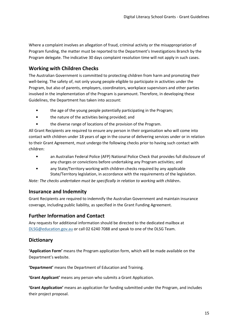Where a complaint involves an allegation of fraud, criminal activity or the misappropriation of Program funding, the matter must be reported to the Department's Investigations Branch by the Program delegate. The indicative 30 days complaint resolution time will not apply in such cases.

### <span id="page-14-0"></span>**Working with Children Checks**

The Australian Government is committed to protecting children from harm and promoting their well-being. The safety of, not only young people eligible to participate in activities under the Program, but also of parents, employers, coordinators, workplace supervisors and other parties involved in the implementation of the Program is paramount. Therefore, in developing these Guidelines, the Department has taken into account:

- the age of the young people potentially participating in the Program;
- the nature of the activities being provided; and
- the diverse range of locations of the provision of the Program.

All Grant Recipients are required to ensure any person in their organisation who will come into contact with children under 18 years of age in the course of delivering services under or in relation to their Grant Agreement, must undergo the following checks prior to having such contact with children:

- an Australian Federal Police (AFP) National Police Check that provides full disclosure of any charges or convictions before undertaking any Program activities; and
- any State/Territory working with children checks required by any applicable State/Territory legislation, in accordance with the requirements of the legislation.

*Note: The checks undertaken must be specifically in relation to working with children***.**

### <span id="page-14-1"></span>**Insurance and Indemnity**

Grant Recipients are required to indemnify the Australian Government and maintain insurance coverage, including public liability, as specified in the Grant Funding Agreement.

#### <span id="page-14-2"></span>**Further Information and Contact**

Any requests for additional information should be directed to the dedicated mailbox at [DLSG@education.gov.au](mailto:DLSG@education.gov.au) or call 02 6240 7088 and speak to one of the DLSG Team.

### **Dictionary**

**'Application Form'** means the Program application form, which will be made available on the Department's website.

**'Department'** means the Department of Education and Training.

**'Grant Applicant'** means any person who submits a Grant Application.

**'Grant Application'** means an application for funding submitted under the Program, and includes their project proposal.